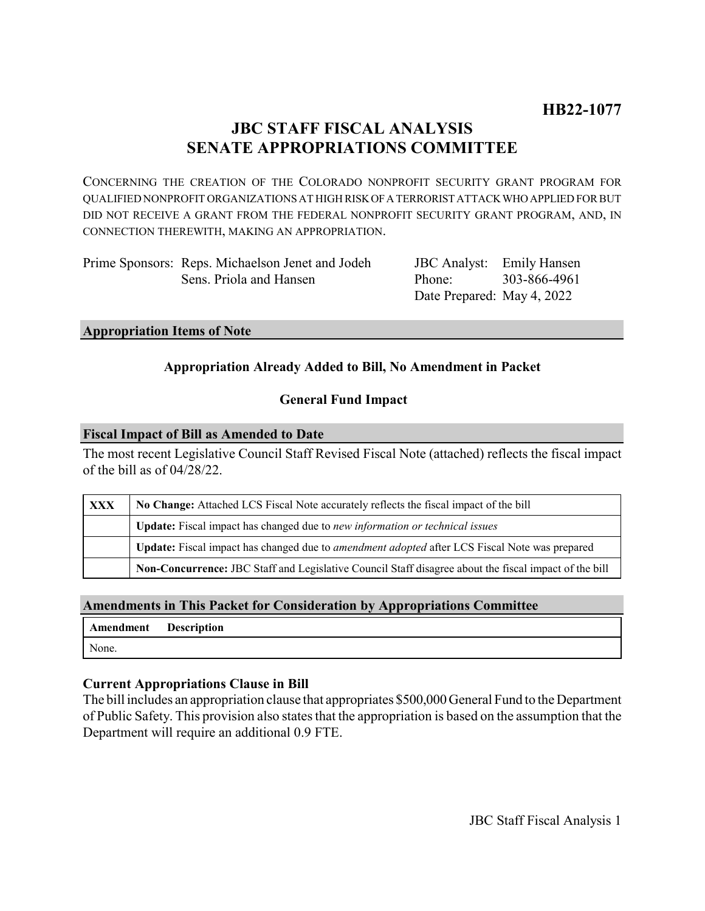# **JBC STAFF FISCAL ANALYSIS SENATE APPROPRIATIONS COMMITTEE**

CONCERNING THE CREATION OF THE COLORADO NONPROFIT SECURITY GRANT PROGRAM FOR QUALIFIED NONPROFIT ORGANIZATIONS AT HIGH RISK OF A TERRORIST ATTACK WHO APPLIED FOR BUT DID NOT RECEIVE A GRANT FROM THE FEDERAL NONPROFIT SECURITY GRANT PROGRAM, AND, IN CONNECTION THEREWITH, MAKING AN APPROPRIATION.

| Prime Sponsors: Reps. Michaelson Jenet and Jodeh |
|--------------------------------------------------|
| Sens. Priola and Hansen                          |

JBC Analyst: Emily Hansen Phone: Date Prepared: May 4, 2022 303-866-4961

#### **Appropriation Items of Note**

# **Appropriation Already Added to Bill, No Amendment in Packet**

#### **General Fund Impact**

#### **Fiscal Impact of Bill as Amended to Date**

The most recent Legislative Council Staff Revised Fiscal Note (attached) reflects the fiscal impact of the bill as of 04/28/22.

| XXX | No Change: Attached LCS Fiscal Note accurately reflects the fiscal impact of the bill                 |
|-----|-------------------------------------------------------------------------------------------------------|
|     | Update: Fiscal impact has changed due to new information or technical issues                          |
|     | Update: Fiscal impact has changed due to <i>amendment adopted</i> after LCS Fiscal Note was prepared  |
|     | Non-Concurrence: JBC Staff and Legislative Council Staff disagree about the fiscal impact of the bill |

# **Amendments in This Packet for Consideration by Appropriations Committee**

|       | Amendment Description |
|-------|-----------------------|
| None. |                       |

#### **Current Appropriations Clause in Bill**

The bill includes an appropriation clause that appropriates \$500,000 General Fund to the Department of Public Safety. This provision also states that the appropriation is based on the assumption that the Department will require an additional 0.9 FTE.